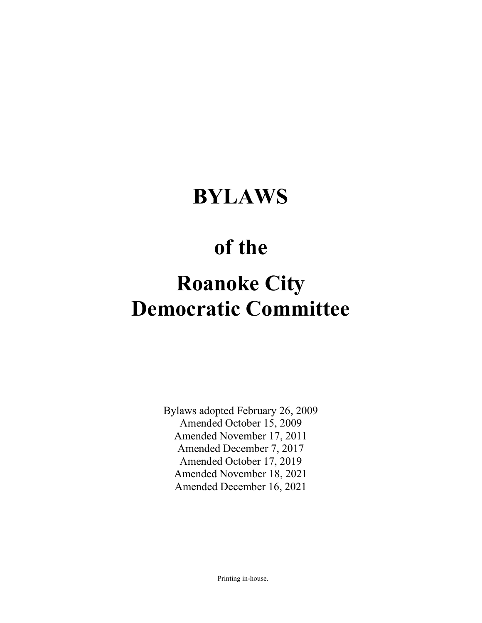## BYLAWS

## of the

# Roanoke City Democratic Committee

Bylaws adopted February 26, 2009 Amended October 15, 2009 Amended November 17, 2011 Amended December 7, 2017 Amended October 17, 2019 Amended November 18, 2021 Amended December 16, 2021

Printing in-house.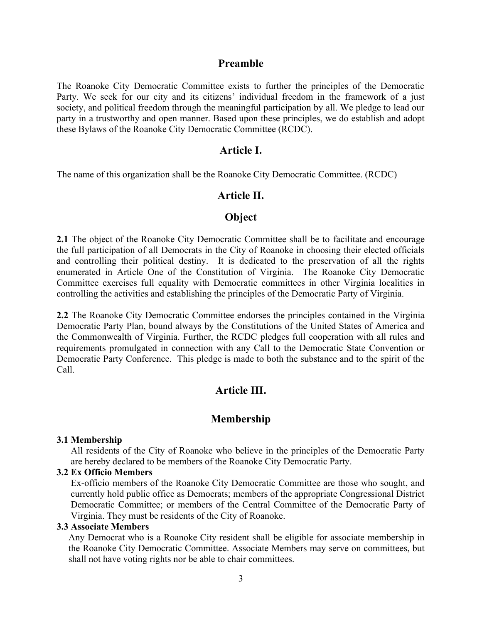#### Preamble

The Roanoke City Democratic Committee exists to further the principles of the Democratic Party. We seek for our city and its citizens' individual freedom in the framework of a just society, and political freedom through the meaningful participation by all. We pledge to lead our party in a trustworthy and open manner. Based upon these principles, we do establish and adopt these Bylaws of the Roanoke City Democratic Committee (RCDC).

## Article I.

The name of this organization shall be the Roanoke City Democratic Committee. (RCDC)

## Article II.

## **Object**

2.1 The object of the Roanoke City Democratic Committee shall be to facilitate and encourage the full participation of all Democrats in the City of Roanoke in choosing their elected officials and controlling their political destiny. It is dedicated to the preservation of all the rights enumerated in Article One of the Constitution of Virginia. The Roanoke City Democratic Committee exercises full equality with Democratic committees in other Virginia localities in controlling the activities and establishing the principles of the Democratic Party of Virginia.

2.2 The Roanoke City Democratic Committee endorses the principles contained in the Virginia Democratic Party Plan, bound always by the Constitutions of the United States of America and the Commonwealth of Virginia. Further, the RCDC pledges full cooperation with all rules and requirements promulgated in connection with any Call to the Democratic State Convention or Democratic Party Conference. This pledge is made to both the substance and to the spirit of the Call.

## Article III.

## Membership

#### 3.1 Membership

All residents of the City of Roanoke who believe in the principles of the Democratic Party are hereby declared to be members of the Roanoke City Democratic Party.

## 3.2 Ex Officio Members

Ex-officio members of the Roanoke City Democratic Committee are those who sought, and currently hold public office as Democrats; members of the appropriate Congressional District Democratic Committee; or members of the Central Committee of the Democratic Party of Virginia. They must be residents of the City of Roanoke.

#### 3.3 Associate Members

Any Democrat who is a Roanoke City resident shall be eligible for associate membership in the Roanoke City Democratic Committee. Associate Members may serve on committees, but shall not have voting rights nor be able to chair committees.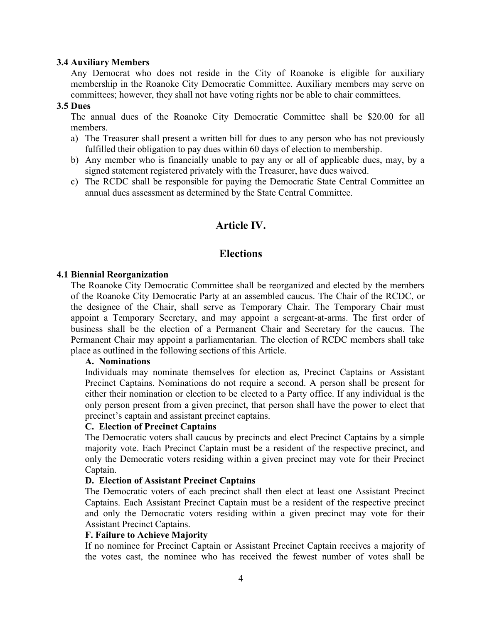#### 3.4 Auxiliary Members

Any Democrat who does not reside in the City of Roanoke is eligible for auxiliary membership in the Roanoke City Democratic Committee. Auxiliary members may serve on committees; however, they shall not have voting rights nor be able to chair committees.

## 3.5 Dues

The annual dues of the Roanoke City Democratic Committee shall be \$20.00 for all members.

- a) The Treasurer shall present a written bill for dues to any person who has not previously fulfilled their obligation to pay dues within 60 days of election to membership.
- b) Any member who is financially unable to pay any or all of applicable dues, may, by a signed statement registered privately with the Treasurer, have dues waived.
- c) The RCDC shall be responsible for paying the Democratic State Central Committee an annual dues assessment as determined by the State Central Committee.

## Article IV.

## **Elections**

## 4.1 Biennial Reorganization

The Roanoke City Democratic Committee shall be reorganized and elected by the members of the Roanoke City Democratic Party at an assembled caucus. The Chair of the RCDC, or the designee of the Chair, shall serve as Temporary Chair. The Temporary Chair must appoint a Temporary Secretary, and may appoint a sergeant-at-arms. The first order of business shall be the election of a Permanent Chair and Secretary for the caucus. The Permanent Chair may appoint a parliamentarian. The election of RCDC members shall take place as outlined in the following sections of this Article.

### A. Nominations

Individuals may nominate themselves for election as, Precinct Captains or Assistant Precinct Captains. Nominations do not require a second. A person shall be present for either their nomination or election to be elected to a Party office. If any individual is the only person present from a given precinct, that person shall have the power to elect that precinct's captain and assistant precinct captains.

#### C. Election of Precinct Captains

The Democratic voters shall caucus by precincts and elect Precinct Captains by a simple majority vote. Each Precinct Captain must be a resident of the respective precinct, and only the Democratic voters residing within a given precinct may vote for their Precinct Captain.

#### D. Election of Assistant Precinct Captains

The Democratic voters of each precinct shall then elect at least one Assistant Precinct Captains. Each Assistant Precinct Captain must be a resident of the respective precinct and only the Democratic voters residing within a given precinct may vote for their Assistant Precinct Captains.

#### F. Failure to Achieve Majority

If no nominee for Precinct Captain or Assistant Precinct Captain receives a majority of the votes cast, the nominee who has received the fewest number of votes shall be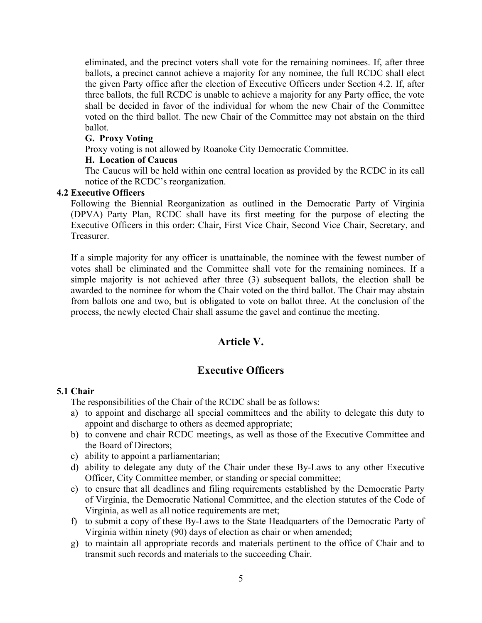eliminated, and the precinct voters shall vote for the remaining nominees. If, after three ballots, a precinct cannot achieve a majority for any nominee, the full RCDC shall elect the given Party office after the election of Executive Officers under Section 4.2. If, after three ballots, the full RCDC is unable to achieve a majority for any Party office, the vote shall be decided in favor of the individual for whom the new Chair of the Committee voted on the third ballot. The new Chair of the Committee may not abstain on the third ballot.

#### G. Proxy Voting

Proxy voting is not allowed by Roanoke City Democratic Committee.

## H. Location of Caucus

The Caucus will be held within one central location as provided by the RCDC in its call notice of the RCDC's reorganization.

## 4.2 Executive Officers

Following the Biennial Reorganization as outlined in the Democratic Party of Virginia (DPVA) Party Plan, RCDC shall have its first meeting for the purpose of electing the Executive Officers in this order: Chair, First Vice Chair, Second Vice Chair, Secretary, and Treasurer.

If a simple majority for any officer is unattainable, the nominee with the fewest number of votes shall be eliminated and the Committee shall vote for the remaining nominees. If a simple majority is not achieved after three (3) subsequent ballots, the election shall be awarded to the nominee for whom the Chair voted on the third ballot. The Chair may abstain from ballots one and two, but is obligated to vote on ballot three. At the conclusion of the process, the newly elected Chair shall assume the gavel and continue the meeting.

## Article V.

## Executive Officers

## 5.1 Chair

The responsibilities of the Chair of the RCDC shall be as follows:

- a) to appoint and discharge all special committees and the ability to delegate this duty to appoint and discharge to others as deemed appropriate;
- b) to convene and chair RCDC meetings, as well as those of the Executive Committee and the Board of Directors;
- c) ability to appoint a parliamentarian;
- d) ability to delegate any duty of the Chair under these By-Laws to any other Executive Officer, City Committee member, or standing or special committee;
- e) to ensure that all deadlines and filing requirements established by the Democratic Party of Virginia, the Democratic National Committee, and the election statutes of the Code of Virginia, as well as all notice requirements are met;
- f) to submit a copy of these By-Laws to the State Headquarters of the Democratic Party of Virginia within ninety (90) days of election as chair or when amended;
- g) to maintain all appropriate records and materials pertinent to the office of Chair and to transmit such records and materials to the succeeding Chair.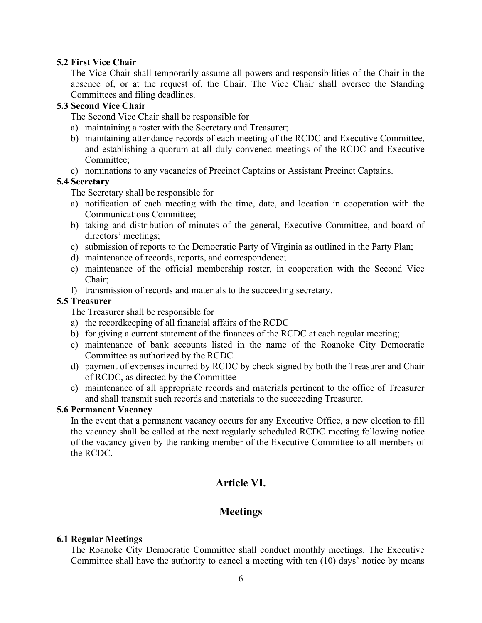## 5.2 First Vice Chair

The Vice Chair shall temporarily assume all powers and responsibilities of the Chair in the absence of, or at the request of, the Chair. The Vice Chair shall oversee the Standing Committees and filing deadlines.

## 5.3 Second Vice Chair

The Second Vice Chair shall be responsible for

- a) maintaining a roster with the Secretary and Treasurer;
- b) maintaining attendance records of each meeting of the RCDC and Executive Committee, and establishing a quorum at all duly convened meetings of the RCDC and Executive Committee;
- c) nominations to any vacancies of Precinct Captains or Assistant Precinct Captains.

## 5.4 Secretary

The Secretary shall be responsible for

- a) notification of each meeting with the time, date, and location in cooperation with the Communications Committee;
- b) taking and distribution of minutes of the general, Executive Committee, and board of directors' meetings;
- c) submission of reports to the Democratic Party of Virginia as outlined in the Party Plan;
- d) maintenance of records, reports, and correspondence;
- e) maintenance of the official membership roster, in cooperation with the Second Vice Chair;
- f) transmission of records and materials to the succeeding secretary.

## 5.5 Treasurer

The Treasurer shall be responsible for

- a) the recordkeeping of all financial affairs of the RCDC
- b) for giving a current statement of the finances of the RCDC at each regular meeting;
- c) maintenance of bank accounts listed in the name of the Roanoke City Democratic Committee as authorized by the RCDC
- d) payment of expenses incurred by RCDC by check signed by both the Treasurer and Chair of RCDC, as directed by the Committee
- e) maintenance of all appropriate records and materials pertinent to the office of Treasurer and shall transmit such records and materials to the succeeding Treasurer.

## 5.6 Permanent Vacancy

In the event that a permanent vacancy occurs for any Executive Office, a new election to fill the vacancy shall be called at the next regularly scheduled RCDC meeting following notice of the vacancy given by the ranking member of the Executive Committee to all members of the RCDC.

## Article VI.

## **Meetings**

## 6.1 Regular Meetings

The Roanoke City Democratic Committee shall conduct monthly meetings. The Executive Committee shall have the authority to cancel a meeting with ten (10) days' notice by means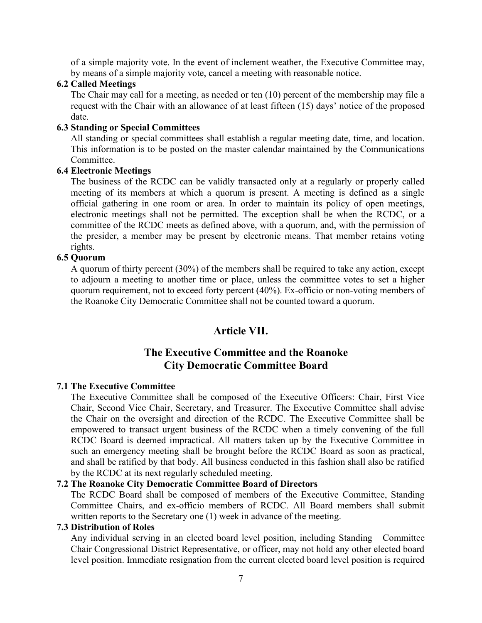of a simple majority vote. In the event of inclement weather, the Executive Committee may, by means of a simple majority vote, cancel a meeting with reasonable notice.

#### 6.2 Called Meetings

The Chair may call for a meeting, as needed or ten (10) percent of the membership may file a request with the Chair with an allowance of at least fifteen (15) days' notice of the proposed date.

### 6.3 Standing or Special Committees

All standing or special committees shall establish a regular meeting date, time, and location. This information is to be posted on the master calendar maintained by the Communications Committee.

## 6.4 Electronic Meetings

The business of the RCDC can be validly transacted only at a regularly or properly called meeting of its members at which a quorum is present. A meeting is defined as a single official gathering in one room or area. In order to maintain its policy of open meetings, electronic meetings shall not be permitted. The exception shall be when the RCDC, or a committee of the RCDC meets as defined above, with a quorum, and, with the permission of the presider, a member may be present by electronic means. That member retains voting rights.

## 6.5 Quorum

A quorum of thirty percent (30%) of the members shall be required to take any action, except to adjourn a meeting to another time or place, unless the committee votes to set a higher quorum requirement, not to exceed forty percent (40%). Ex-officio or non-voting members of the Roanoke City Democratic Committee shall not be counted toward a quorum.

## Article VII.

## The Executive Committee and the Roanoke City Democratic Committee Board

#### 7.1 The Executive Committee

The Executive Committee shall be composed of the Executive Officers: Chair, First Vice Chair, Second Vice Chair, Secretary, and Treasurer. The Executive Committee shall advise the Chair on the oversight and direction of the RCDC. The Executive Committee shall be empowered to transact urgent business of the RCDC when a timely convening of the full RCDC Board is deemed impractical. All matters taken up by the Executive Committee in such an emergency meeting shall be brought before the RCDC Board as soon as practical, and shall be ratified by that body. All business conducted in this fashion shall also be ratified by the RCDC at its next regularly scheduled meeting.

## 7.2 The Roanoke City Democratic Committee Board of Directors

The RCDC Board shall be composed of members of the Executive Committee, Standing Committee Chairs, and ex-officio members of RCDC. All Board members shall submit written reports to the Secretary one (1) week in advance of the meeting.

## 7.3 Distribution of Roles

Any individual serving in an elected board level position, including Standing Committee Chair Congressional District Representative, or officer, may not hold any other elected board level position. Immediate resignation from the current elected board level position is required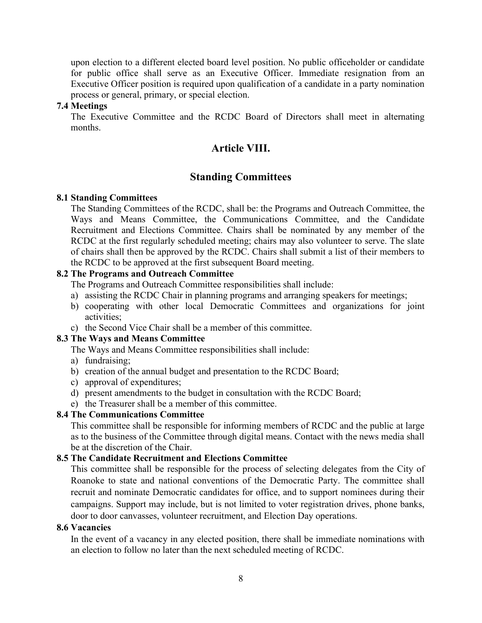upon election to a different elected board level position. No public officeholder or candidate for public office shall serve as an Executive Officer. Immediate resignation from an Executive Officer position is required upon qualification of a candidate in a party nomination process or general, primary, or special election.

#### 7.4 Meetings

The Executive Committee and the RCDC Board of Directors shall meet in alternating months.

## Article VIII.

## Standing Committees

#### 8.1 Standing Committees

The Standing Committees of the RCDC, shall be: the Programs and Outreach Committee, the Ways and Means Committee, the Communications Committee, and the Candidate Recruitment and Elections Committee. Chairs shall be nominated by any member of the RCDC at the first regularly scheduled meeting; chairs may also volunteer to serve. The slate of chairs shall then be approved by the RCDC. Chairs shall submit a list of their members to the RCDC to be approved at the first subsequent Board meeting.

#### 8.2 The Programs and Outreach Committee

The Programs and Outreach Committee responsibilities shall include:

- a) assisting the RCDC Chair in planning programs and arranging speakers for meetings;
- b) cooperating with other local Democratic Committees and organizations for joint activities;
- c) the Second Vice Chair shall be a member of this committee.

## 8.3 The Ways and Means Committee

The Ways and Means Committee responsibilities shall include:

- a) fundraising;
- b) creation of the annual budget and presentation to the RCDC Board;
- c) approval of expenditures;
- d) present amendments to the budget in consultation with the RCDC Board;
- e) the Treasurer shall be a member of this committee.

#### 8.4 The Communications Committee

This committee shall be responsible for informing members of RCDC and the public at large as to the business of the Committee through digital means. Contact with the news media shall be at the discretion of the Chair.

#### 8.5 The Candidate Recruitment and Elections Committee

This committee shall be responsible for the process of selecting delegates from the City of Roanoke to state and national conventions of the Democratic Party. The committee shall recruit and nominate Democratic candidates for office, and to support nominees during their campaigns. Support may include, but is not limited to voter registration drives, phone banks, door to door canvasses, volunteer recruitment, and Election Day operations.

#### 8.6 Vacancies

In the event of a vacancy in any elected position, there shall be immediate nominations with an election to follow no later than the next scheduled meeting of RCDC.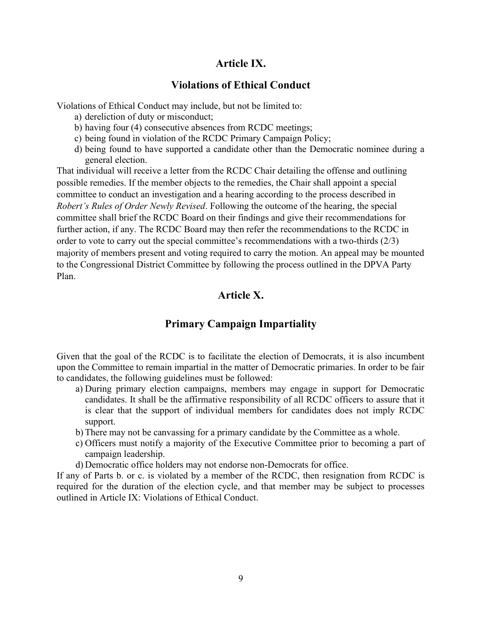## Article IX.

## Violations of Ethical Conduct

Violations of Ethical Conduct may include, but not be limited to:

- a) dereliction of duty or misconduct;
- b) having four (4) consecutive absences from RCDC meetings;
- c) being found in violation of the RCDC Primary Campaign Policy;
- d) being found to have supported a candidate other than the Democratic nominee during a general election.

That individual will receive a letter from the RCDC Chair detailing the offense and outlining possible remedies. If the member objects to the remedies, the Chair shall appoint a special committee to conduct an investigation and a hearing according to the process described in Robert's Rules of Order Newly Revised. Following the outcome of the hearing, the special committee shall brief the RCDC Board on their findings and give their recommendations for further action, if any. The RCDC Board may then refer the recommendations to the RCDC in order to vote to carry out the special committee's recommendations with a two-thirds (2/3) majority of members present and voting required to carry the motion. An appeal may be mounted to the Congressional District Committee by following the process outlined in the DPVA Party Plan.

## Article X.

## Primary Campaign Impartiality

Given that the goal of the RCDC is to facilitate the election of Democrats, it is also incumbent upon the Committee to remain impartial in the matter of Democratic primaries. In order to be fair to candidates, the following guidelines must be followed:

- a) During primary election campaigns, members may engage in support for Democratic candidates. It shall be the affirmative responsibility of all RCDC officers to assure that it is clear that the support of individual members for candidates does not imply RCDC support.
- b) There may not be canvassing for a primary candidate by the Committee as a whole.
- c) Officers must notify a majority of the Executive Committee prior to becoming a part of campaign leadership.
- d) Democratic office holders may not endorse non-Democrats for office.

If any of Parts b. or c. is violated by a member of the RCDC, then resignation from RCDC is required for the duration of the election cycle, and that member may be subject to processes outlined in Article IX: Violations of Ethical Conduct.